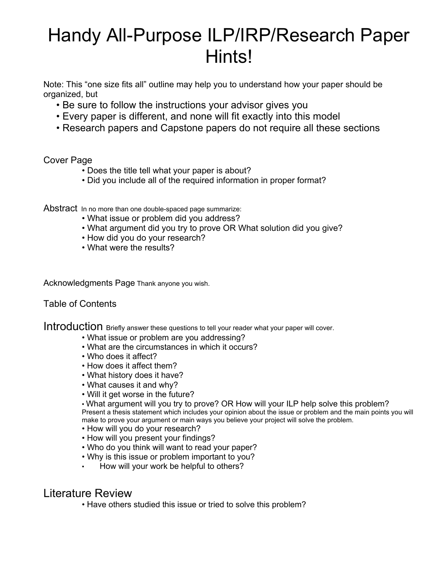## Handy All-Purpose ILP/IRP/Research Paper Hints!

Note: This "one size fits all" outline may help you to understand how your paper should be organized, but

- Be sure to follow the instructions your advisor gives you
- Every paper is different, and none will fit exactly into this model
- Research papers and Capstone papers do not require all these sections

## Cover Page

- Does the title tell what your paper is about?
- Did you include all of the required information in proper format?

Abstract In no more than one double-spaced page summarize:

- What issue or problem did you address?
- What argument did you try to prove OR What solution did you give?
- How did you do your research?
- What were the results?

Acknowledgments Page Thank anyone you wish.

## Table of Contents

Introduction Briefly answer these questions to tell your reader what your paper will cover.<br>• What issue or problem are you addressing?

- 
- What are the circumstances in which it occurs?
- Who does it affect?
- How does it affect them?
- What history does it have?
- What causes it and why?
- Will it get worse in the future?

 • What argument will you try to prove? OR How will your ILP help solve this problem? Present a thesis statement which includes your opinion about the issue or problem and the main points you will make to prove your argument or main ways you believe your project will solve the problem.

- How will you do your research?
- How will you present your findings?
- Who do you think will want to read your paper?
- Why is this issue or problem important to you?
- How will your work be helpful to others?

## Literature Review

• Have others studied this issue or tried to solve this problem?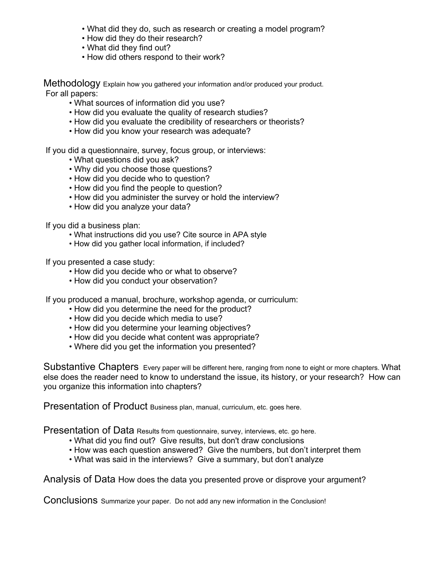- What did they do, such as research or creating a model program?
- How did they do their research?
- What did they find out?
- How did others respond to their work?

Methodology Explain how you gathered your information and/or produced your product. For all papers:

- What sources of information did you use?
- How did you evaluate the quality of research studies?
- How did you evaluate the credibility of researchers or theorists?
- How did you know your research was adequate?

If you did a questionnaire, survey, focus group, or interviews:

- What questions did you ask?
- Why did you choose those questions?
- How did you decide who to question?
- How did you find the people to question?
- How did you administer the survey or hold the interview?
- How did you analyze your data?

If you did a business plan:

- What instructions did you use? Cite source in APA style
- How did you gather local information, if included?

If you presented a case study:

- How did you decide who or what to observe?
- How did you conduct your observation?

If you produced a manual, brochure, workshop agenda, or curriculum:

- How did you determine the need for the product?
- How did you decide which media to use?
- How did you determine your learning objectives?
- How did you decide what content was appropriate?
- Where did you get the information you presented?

Substantive Chapters Every paper will be different here, ranging from none to eight or more chapters. What else does the reader need to know to understand the issue, its history, or your research? How can you organize this information into chapters?

Presentation of Product Business plan, manual, curriculum, etc. goes here.

Presentation of Data Results from questionnaire, survey, interviews, etc. go here.

- What did you find out? Give results, but don't draw conclusions
- How was each question answered? Give the numbers, but don't interpret them
- What was said in the interviews? Give a summary, but don't analyze

Analysis of Data How does the data you presented prove or disprove your argument?

Conclusions Summarize your paper. Do not add any new information in the Conclusion!